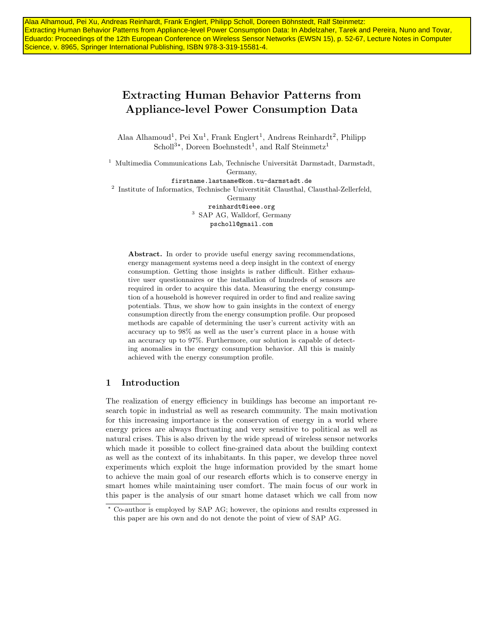Alaa Alhamoud, Pei Xu, Andreas Reinhardt, Frank Englert, Philipp Scholl, Doreen Böhnstedt, Ralf Steinmetz: Extracting Human Behavior Patterns from Appliance-level Power Consumption Data: In Abdelzaher, Tarek and Pereira, Nuno and Tovar, Eduardo: Proceedings of the 12th European Conference on Wireless Sensor Networks (EWSN 15), p. 52-67, Lecture Notes in Computer Science, v. 8965, Springer International Publishing, ISBN 978-3-319-15581-4.

# Extracting Human Behavior Patterns from Appliance-level Power Consumption Data

Alaa Alhamoud<sup>1</sup>, Pei Xu<sup>1</sup>, Frank Englert<sup>1</sup>, Andreas Reinhardt<sup>2</sup>, Philipp Scholl<sup>3\*</sup>, Doreen Boehnstedt<sup>1</sup>, and Ralf Steinmetz<sup>1</sup>

<sup>1</sup> Multimedia Communications Lab, Technische Universität Darmstadt, Darmstadt, Germany, firstname.lastname@kom.tu-darmstadt.de

 $2$  Institute of Informatics, Technische Universtität Clausthal, Clausthal-Zellerfeld,

Germany

reinhardt@ieee.org <sup>3</sup> SAP AG, Walldorf, Germany pscholl@gmail.com

Abstract. In order to provide useful energy saving recommendations, energy management systems need a deep insight in the context of energy consumption. Getting those insights is rather difficult. Either exhaustive user questionnaires or the installation of hundreds of sensors are required in order to acquire this data. Measuring the energy consumption of a household is however required in order to find and realize saving potentials. Thus, we show how to gain insights in the context of energy consumption directly from the energy consumption profile. Our proposed methods are capable of determining the user's current activity with an accuracy up to 98% as well as the user's current place in a house with an accuracy up to 97%. Furthermore, our solution is capable of detecting anomalies in the energy consumption behavior. All this is mainly achieved with the energy consumption profile.

# 1 Introduction

The realization of energy efficiency in buildings has become an important research topic in industrial as well as research community. The main motivation for this increasing importance is the conservation of energy in a world where energy prices are always fluctuating and very sensitive to political as well as natural crises. This is also driven by the wide spread of wireless sensor networks which made it possible to collect fine-grained data about the building context as well as the context of its inhabitants. In this paper, we develop three novel experiments which exploit the huge information provided by the smart home to achieve the main goal of our research efforts which is to conserve energy in smart homes while maintaining user comfort. The main focus of our work in this paper is the analysis of our smart home dataset which we call from now

<sup>⋆</sup> Co-author is employed by SAP AG; however, the opinions and results expressed in this paper are his own and do not denote the point of view of SAP AG.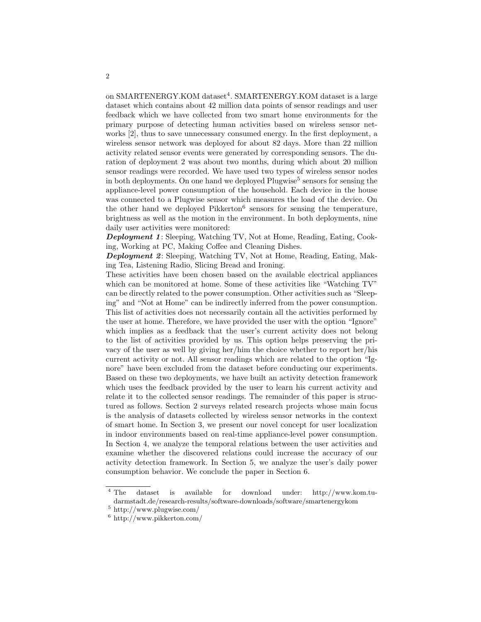on SMARTENERGY.KOM dataset<sup>4</sup>. SMARTENERGY.KOM dataset is a large dataset which contains about 42 million data points of sensor readings and user feedback which we have collected from two smart home environments for the primary purpose of detecting human activities based on wireless sensor networks [2], thus to save unnecessary consumed energy. In the first deployment, a wireless sensor network was deployed for about 82 days. More than 22 million activity related sensor events were generated by corresponding sensors. The duration of deployment 2 was about two months, during which about 20 million sensor readings were recorded. We have used two types of wireless sensor nodes in both deployments. On one hand we deployed Plugwise<sup>5</sup> sensors for sensing the appliance-level power consumption of the household. Each device in the house was connected to a Plugwise sensor which measures the load of the device. On the other hand we deployed Pikkerton<sup>6</sup> sensors for sensing the temperature, brightness as well as the motion in the environment. In both deployments, nine daily user activities were monitored:

Deployment 1: Sleeping, Watching TV, Not at Home, Reading, Eating, Cooking, Working at PC, Making Coffee and Cleaning Dishes.

Deployment 2: Sleeping, Watching TV, Not at Home, Reading, Eating, Making Tea, Listening Radio, Slicing Bread and Ironing.

These activities have been chosen based on the available electrical appliances which can be monitored at home. Some of these activities like "Watching TV" can be directly related to the power consumption. Other activities such as "Sleeping" and "Not at Home" can be indirectly inferred from the power consumption. This list of activities does not necessarily contain all the activities performed by the user at home. Therefore, we have provided the user with the option "Ignore" which implies as a feedback that the user's current activity does not belong to the list of activities provided by us. This option helps preserving the privacy of the user as well by giving her/him the choice whether to report her/his current activity or not. All sensor readings which are related to the option "Ignore" have been excluded from the dataset before conducting our experiments. Based on these two deployments, we have built an activity detection framework which uses the feedback provided by the user to learn his current activity and relate it to the collected sensor readings. The remainder of this paper is structured as follows. Section 2 surveys related research projects whose main focus is the analysis of datasets collected by wireless sensor networks in the context of smart home. In Section 3, we present our novel concept for user localization in indoor environments based on real-time appliance-level power consumption. In Section 4, we analyze the temporal relations between the user activities and examine whether the discovered relations could increase the accuracy of our activity detection framework. In Section 5, we analyze the user's daily power consumption behavior. We conclude the paper in Section 6.

<sup>4</sup> The dataset is available for download under: http://www.kom.tudarmstadt.de/research-results/software-downloads/software/smartenergykom

 $^5$ http://www.plugwise.com/

 $6$  http://www.pikkerton.com/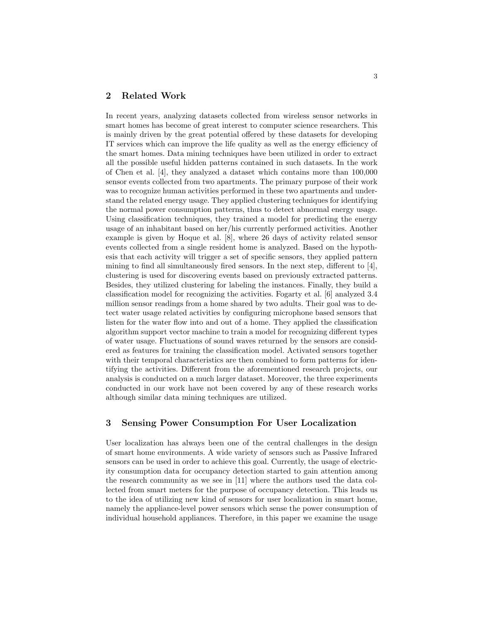# 2 Related Work

In recent years, analyzing datasets collected from wireless sensor networks in smart homes has become of great interest to computer science researchers. This is mainly driven by the great potential offered by these datasets for developing IT services which can improve the life quality as well as the energy efficiency of the smart homes. Data mining techniques have been utilized in order to extract all the possible useful hidden patterns contained in such datasets. In the work of Chen et al. [4], they analyzed a dataset which contains more than 100,000 sensor events collected from two apartments. The primary purpose of their work was to recognize human activities performed in these two apartments and understand the related energy usage. They applied clustering techniques for identifying the normal power consumption patterns, thus to detect abnormal energy usage. Using classification techniques, they trained a model for predicting the energy usage of an inhabitant based on her/his currently performed activities. Another example is given by Hoque et al. [8], where 26 days of activity related sensor events collected from a single resident home is analyzed. Based on the hypothesis that each activity will trigger a set of specific sensors, they applied pattern mining to find all simultaneously fired sensors. In the next step, different to [4], clustering is used for discovering events based on previously extracted patterns. Besides, they utilized clustering for labeling the instances. Finally, they build a classification model for recognizing the activities. Fogarty et al. [6] analyzed 3.4 million sensor readings from a home shared by two adults. Their goal was to detect water usage related activities by configuring microphone based sensors that listen for the water flow into and out of a home. They applied the classification algorithm support vector machine to train a model for recognizing different types of water usage. Fluctuations of sound waves returned by the sensors are considered as features for training the classification model. Activated sensors together with their temporal characteristics are then combined to form patterns for identifying the activities. Different from the aforementioned research projects, our analysis is conducted on a much larger dataset. Moreover, the three experiments conducted in our work have not been covered by any of these research works although similar data mining techniques are utilized.

# 3 Sensing Power Consumption For User Localization

User localization has always been one of the central challenges in the design of smart home environments. A wide variety of sensors such as Passive Infrared sensors can be used in order to achieve this goal. Currently, the usage of electricity consumption data for occupancy detection started to gain attention among the research community as we see in [11] where the authors used the data collected from smart meters for the purpose of occupancy detection. This leads us to the idea of utilizing new kind of sensors for user localization in smart home, namely the appliance-level power sensors which sense the power consumption of individual household appliances. Therefore, in this paper we examine the usage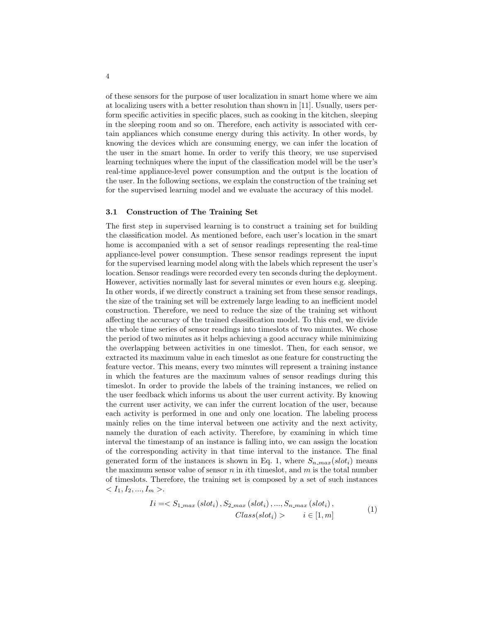of these sensors for the purpose of user localization in smart home where we aim at localizing users with a better resolution than shown in [11]. Usually, users perform specific activities in specific places, such as cooking in the kitchen, sleeping in the sleeping room and so on. Therefore, each activity is associated with certain appliances which consume energy during this activity. In other words, by knowing the devices which are consuming energy, we can infer the location of the user in the smart home. In order to verify this theory, we use supervised learning techniques where the input of the classification model will be the user's real-time appliance-level power consumption and the output is the location of the user. In the following sections, we explain the construction of the training set for the supervised learning model and we evaluate the accuracy of this model.

#### 3.1 Construction of The Training Set

The first step in supervised learning is to construct a training set for building the classification model. As mentioned before, each user's location in the smart home is accompanied with a set of sensor readings representing the real-time appliance-level power consumption. These sensor readings represent the input for the supervised learning model along with the labels which represent the user's location. Sensor readings were recorded every ten seconds during the deployment. However, activities normally last for several minutes or even hours e.g. sleeping. In other words, if we directly construct a training set from these sensor readings, the size of the training set will be extremely large leading to an inefficient model construction. Therefore, we need to reduce the size of the training set without affecting the accuracy of the trained classification model. To this end, we divide the whole time series of sensor readings into timeslots of two minutes. We chose the period of two minutes as it helps achieving a good accuracy while minimizing the overlapping between activities in one timeslot. Then, for each sensor, we extracted its maximum value in each timeslot as one feature for constructing the feature vector. This means, every two minutes will represent a training instance in which the features are the maximum values of sensor readings during this timeslot. In order to provide the labels of the training instances, we relied on the user feedback which informs us about the user current activity. By knowing the current user activity, we can infer the current location of the user, because each activity is performed in one and only one location. The labeling process mainly relies on the time interval between one activity and the next activity, namely the duration of each activity. Therefore, by examining in which time interval the timestamp of an instance is falling into, we can assign the location of the corresponding activity in that time interval to the instance. The final generated form of the instances is shown in Eq. 1, where  $S_{n,max}(slot_i)$  means the maximum sensor value of sensor  $n$  in *i*th timeslot, and  $m$  is the total number of timeslots. Therefore, the training set is composed by a set of such instances  $I_1, I_2, \ldots, I_m$ .

$$
Ii = \langle S_{1,max} (slot_i), S_{2,max} (slot_i), ..., S_{n,max} (slot_i),
$$
  
\n
$$
Class (slot_i) > i \in [1, m]
$$
\n
$$
(1)
$$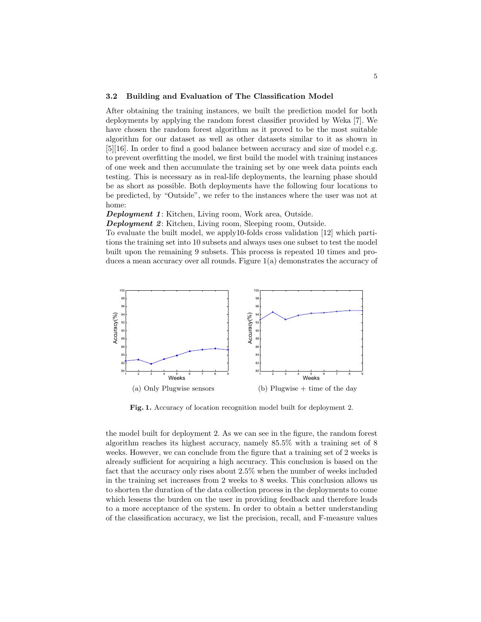#### 3.2 Building and Evaluation of The Classification Model

After obtaining the training instances, we built the prediction model for both deployments by applying the random forest classifier provided by Weka [7]. We have chosen the random forest algorithm as it proved to be the most suitable algorithm for our dataset as well as other datasets similar to it as shown in [5][16]. In order to find a good balance between accuracy and size of model e.g. to prevent overfitting the model, we first build the model with training instances of one week and then accumulate the training set by one week data points each testing. This is necessary as in real-life deployments, the learning phase should be as short as possible. Both deployments have the following four locations to be predicted, by "Outside", we refer to the instances where the user was not at home:

Deployment 1: Kitchen, Living room, Work area, Outside.

Deployment 2: Kitchen, Living room, Sleeping room, Outside.

To evaluate the built model, we apply10-folds cross validation [12] which partitions the training set into 10 subsets and always uses one subset to test the model built upon the remaining 9 subsets. This process is repeated 10 times and produces a mean accuracy over all rounds. Figure 1(a) demonstrates the accuracy of



Fig. 1. Accuracy of location recognition model built for deployment 2.

the model built for deployment 2. As we can see in the figure, the random forest algorithm reaches its highest accuracy, namely 85.5% with a training set of 8 weeks. However, we can conclude from the figure that a training set of 2 weeks is already sufficient for acquiring a high accuracy. This conclusion is based on the fact that the accuracy only rises about 2.5% when the number of weeks included in the training set increases from 2 weeks to 8 weeks. This conclusion allows us to shorten the duration of the data collection process in the deployments to come which lessens the burden on the user in providing feedback and therefore leads to a more acceptance of the system. In order to obtain a better understanding of the classification accuracy, we list the precision, recall, and F-measure values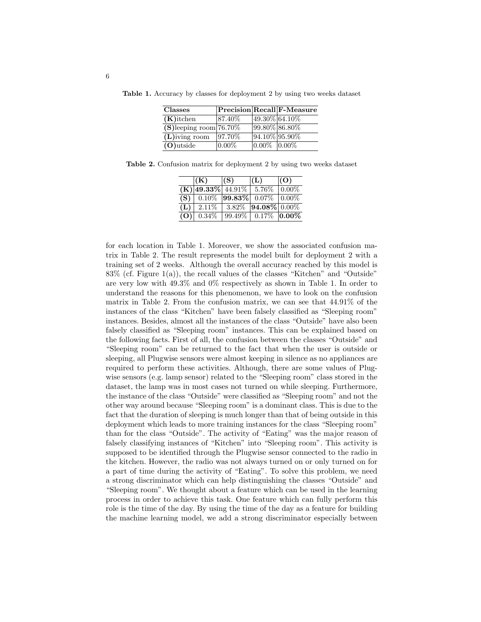| <b>Classes</b>            |            |                  | Precision Recall F-Measure |
|---------------------------|------------|------------------|----------------------------|
| $(K)$ itchen              | 87.40\%    | 49.30% 64.10%    |                            |
| $(S)$ leeping room 76.70% |            | 99.80% 86.80%    |                            |
| $(L)$ iving room          | $ 97.70\%$ | $94.10\%$ 95.90% |                            |
| $(O)$ utside              | $0.00\%$   | $ 0.00\% 0.00\%$ |                            |

Table 1. Accuracy by classes for deployment 2 by using two weeks dataset

Table 2. Confusion matrix for deployment 2 by using two weeks dataset

|     | (K)                   | (S)               | (L)               | (O)       |
|-----|-----------------------|-------------------|-------------------|-----------|
|     | $(K)$  49.33%  44.91% |                   | $5.76\%$          | $ 0.00\%$ |
| (S) | 0.10%                 | $ 99.83\% $ 0.07% |                   | $ 0.00\%$ |
| (L) | $2.11\%$              | $3.82\%$          | $ 94.08\% 0.00\%$ |           |
| (O) | $0.34\%$              | 99.49%            | $0.17\%$          | $ 0.00\%$ |

for each location in Table 1. Moreover, we show the associated confusion matrix in Table 2. The result represents the model built for deployment 2 with a training set of 2 weeks. Although the overall accuracy reached by this model is 83% (cf. Figure 1(a)), the recall values of the classes "Kitchen" and "Outside" are very low with 49.3% and 0% respectively as shown in Table 1. In order to understand the reasons for this phenomenon, we have to look on the confusion matrix in Table 2. From the confusion matrix, we can see that 44.91% of the instances of the class "Kitchen" have been falsely classified as "Sleeping room" instances. Besides, almost all the instances of the class "Outside" have also been falsely classified as "Sleeping room" instances. This can be explained based on the following facts. First of all, the confusion between the classes "Outside" and "Sleeping room" can be returned to the fact that when the user is outside or sleeping, all Plugwise sensors were almost keeping in silence as no appliances are required to perform these activities. Although, there are some values of Plugwise sensors (e.g. lamp sensor) related to the "Sleeping room" class stored in the dataset, the lamp was in most cases not turned on while sleeping. Furthermore, the instance of the class "Outside" were classified as "Sleeping room" and not the other way around because "Sleeping room" is a dominant class. This is due to the fact that the duration of sleeping is much longer than that of being outside in this deployment which leads to more training instances for the class "Sleeping room" than for the class "Outside". The activity of "Eating" was the major reason of falsely classifying instances of "Kitchen" into "Sleeping room". This activity is supposed to be identified through the Plugwise sensor connected to the radio in the kitchen. However, the radio was not always turned on or only turned on for a part of time during the activity of "Eating". To solve this problem, we need a strong discriminator which can help distinguishing the classes "Outside" and "Sleeping room". We thought about a feature which can be used in the learning process in order to achieve this task. One feature which can fully perform this role is the time of the day. By using the time of the day as a feature for building the machine learning model, we add a strong discriminator especially between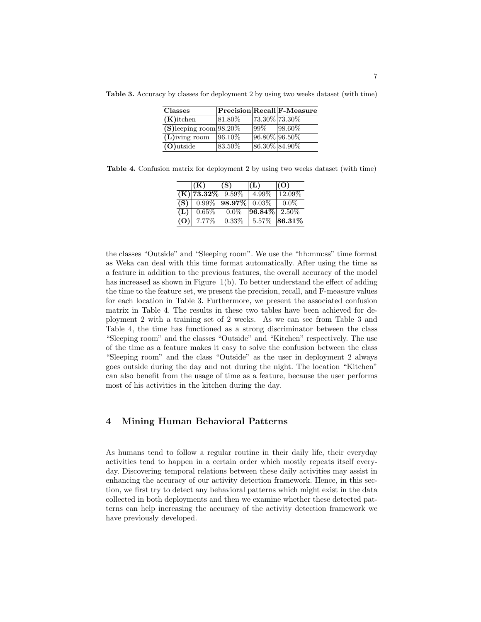Table 3. Accuracy by classes for deployment 2 by using two weeks dataset (with time)

| Classes                   |            |                    | Precision Recall F-Measure |
|---------------------------|------------|--------------------|----------------------------|
| $(K)$ itchen              | 81.80%     | 73.30% 73.30%      |                            |
| $(S)$ leeping room 98.20% |            | $ 99\% $           | $ 98.60\%$                 |
| $(L)$ iving room          | $ 96.10\%$ | $ 96.80\% 96.50\%$ |                            |
| $(O)$ utside              | 83.50\%    | 86.30% 84.90%      |                            |

Table 4. Confusion matrix for deployment 2 by using two weeks dataset (with time)

|           | (K)                | $\mathbf{S}$      | (L)                | (O)        |
|-----------|--------------------|-------------------|--------------------|------------|
|           | $(K)$ 73.32% 9.59% |                   | $4.99\%$           | 12.09%     |
| (S)       | $0.99\%$           | $ 98.97\% $ 0.03% |                    | $0.0\%$    |
| (L)       | $0.65\%$           | $0.0\%$           | $ 96.84\%  2.50\%$ |            |
| <u>(Ο</u> | $7.77\%$           | $0.33\%$          | $5.57\%$           | $ 86.31\%$ |

the classes "Outside" and "Sleeping room". We use the "hh:mm:ss" time format as Weka can deal with this time format automatically. After using the time as a feature in addition to the previous features, the overall accuracy of the model has increased as shown in Figure 1(b). To better understand the effect of adding the time to the feature set, we present the precision, recall, and F-measure values for each location in Table 3. Furthermore, we present the associated confusion matrix in Table 4. The results in these two tables have been achieved for deployment 2 with a training set of 2 weeks. As we can see from Table 3 and Table 4, the time has functioned as a strong discriminator between the class "Sleeping room" and the classes "Outside" and "Kitchen" respectively. The use of the time as a feature makes it easy to solve the confusion between the class "Sleeping room" and the class "Outside" as the user in deployment 2 always goes outside during the day and not during the night. The location "Kitchen" can also benefit from the usage of time as a feature, because the user performs most of his activities in the kitchen during the day.

## 4 Mining Human Behavioral Patterns

As humans tend to follow a regular routine in their daily life, their everyday activities tend to happen in a certain order which mostly repeats itself everyday. Discovering temporal relations between these daily activities may assist in enhancing the accuracy of our activity detection framework. Hence, in this section, we first try to detect any behavioral patterns which might exist in the data collected in both deployments and then we examine whether these detected patterns can help increasing the accuracy of the activity detection framework we have previously developed.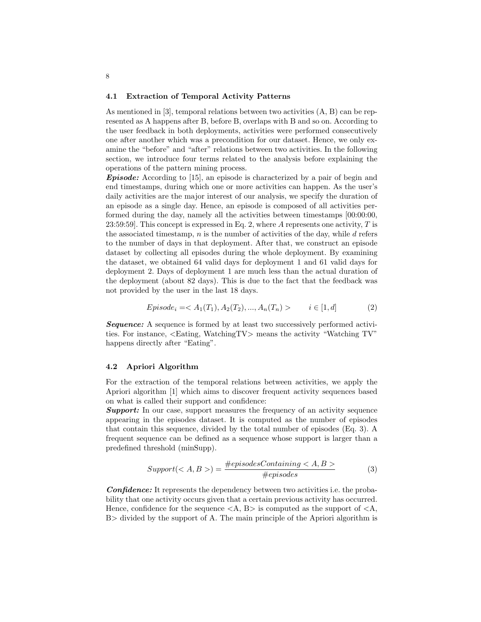#### 4.1 Extraction of Temporal Activity Patterns

As mentioned in [3], temporal relations between two activities (A, B) can be represented as A happens after B, before B, overlaps with B and so on. According to the user feedback in both deployments, activities were performed consecutively one after another which was a precondition for our dataset. Hence, we only examine the "before" and "after" relations between two activities. In the following section, we introduce four terms related to the analysis before explaining the operations of the pattern mining process.

Episode: According to [15], an episode is characterized by a pair of begin and end timestamps, during which one or more activities can happen. As the user's daily activities are the major interest of our analysis, we specify the duration of an episode as a single day. Hence, an episode is composed of all activities performed during the day, namely all the activities between timestamps [00:00:00, 23:59:59]. This concept is expressed in Eq. 2, where  $A$  represents one activity,  $T$  is the associated timestamp,  $n$  is the number of activities of the day, while  $d$  refers to the number of days in that deployment. After that, we construct an episode dataset by collecting all episodes during the whole deployment. By examining the dataset, we obtained 64 valid days for deployment 1 and 61 valid days for deployment 2. Days of deployment 1 are much less than the actual duration of the deployment (about 82 days). This is due to the fact that the feedback was not provided by the user in the last 18 days.

$$
Episode_i =  \qquad i \in [1, d]
$$
 (2)

Sequence: A sequence is formed by at least two successively performed activities. For instance, <Eating, WatchingTV> means the activity "Watching TV" happens directly after "Eating".

#### 4.2 Apriori Algorithm

For the extraction of the temporal relations between activities, we apply the Apriori algorithm [1] which aims to discover frequent activity sequences based on what is called their support and confidence:

Support: In our case, support measures the frequency of an activity sequence appearing in the episodes dataset. It is computed as the number of episodes that contain this sequence, divided by the total number of episodes (Eq. 3). A frequent sequence can be defined as a sequence whose support is larger than a predefined threshold (minSupp).

$$
Support() = \frac{\#episodesContinning }{\#episodes}
$$
(3)

Confidence: It represents the dependency between two activities i.e. the probability that one activity occurs given that a certain previous activity has occurred. Hence, confidence for the sequence  $\langle A, B \rangle$  is computed as the support of  $\langle A, A \rangle$ B> divided by the support of A. The main principle of the Apriori algorithm is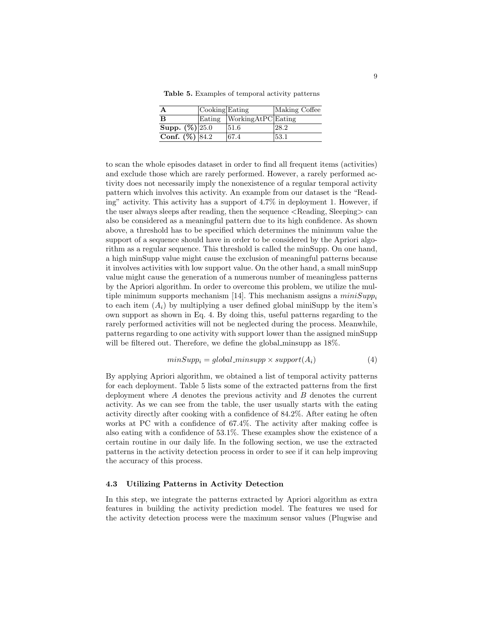Table 5. Examples of temporal activity patterns

| A                                 | $ {\rm Cobking} $ Eating |                           | Making Coffee |
|-----------------------------------|--------------------------|---------------------------|---------------|
| B                                 |                          | Eating WorkingAtPC Eating |               |
| <b>Supp.</b> $(\%)$ $\sqrt{25.0}$ |                          | 51.6                      | 28.2          |
| Conf. $(\%)$ 84.2                 |                          | 67.4                      | 153.1         |

to scan the whole episodes dataset in order to find all frequent items (activities) and exclude those which are rarely performed. However, a rarely performed activity does not necessarily imply the nonexistence of a regular temporal activity pattern which involves this activity. An example from our dataset is the "Reading" activity. This activity has a support of 4.7% in deployment 1. However, if the user always sleeps after reading, then the sequence  $\langle$ Reading, Sleeping $\rangle$  can also be considered as a meaningful pattern due to its high confidence. As shown above, a threshold has to be specified which determines the minimum value the support of a sequence should have in order to be considered by the Apriori algorithm as a regular sequence. This threshold is called the minSupp. On one hand, a high minSupp value might cause the exclusion of meaningful patterns because it involves activities with low support value. On the other hand, a small minSupp value might cause the generation of a numerous number of meaningless patterns by the Apriori algorithm. In order to overcome this problem, we utilize the multiple minimum supports mechanism [14]. This mechanism assigns a  $minSupp_i$ to each item  $(A_i)$  by multiplying a user defined global miniSupp by the item's own support as shown in Eq. 4. By doing this, useful patterns regarding to the rarely performed activities will not be neglected during the process. Meanwhile, patterns regarding to one activity with support lower than the assigned minSupp will be filtered out. Therefore, we define the global minsupp as  $18\%$ .

$$
minSupp_i = global\_minsupp \times support(A_i)
$$
\n(4)

By applying Apriori algorithm, we obtained a list of temporal activity patterns for each deployment. Table 5 lists some of the extracted patterns from the first deployment where A denotes the previous activity and B denotes the current activity. As we can see from the table, the user usually starts with the eating activity directly after cooking with a confidence of 84.2%. After eating he often works at PC with a confidence of 67.4%. The activity after making coffee is also eating with a confidence of 53.1%. These examples show the existence of a certain routine in our daily life. In the following section, we use the extracted patterns in the activity detection process in order to see if it can help improving the accuracy of this process.

#### 4.3 Utilizing Patterns in Activity Detection

In this step, we integrate the patterns extracted by Apriori algorithm as extra features in building the activity prediction model. The features we used for the activity detection process were the maximum sensor values (Plugwise and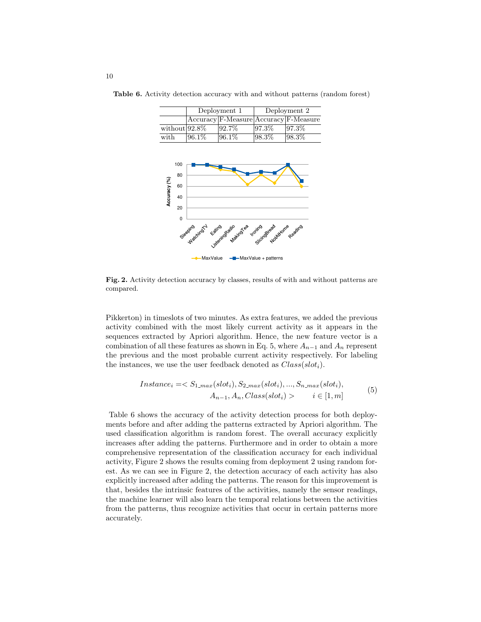|                  | Deployment 1 |                                       | Deployment 2 |           |
|------------------|--------------|---------------------------------------|--------------|-----------|
|                  |              | Accuracy F-Measure Accuracy F-Measure |              |           |
| without $92.8\%$ |              | 92.7%                                 | 97.3%        | $ 97.3\%$ |
| with             | $ 96.1\%$    | 96.1%                                 | 98.3%        | 98.3%     |
|                  |              |                                       |              |           |

Table 6. Activity detection accuracy with and without patterns (random forest)



Fig. 2. Activity detection accuracy by classes, results of with and without patterns are compared.

– Pikkerton) in timeslots of two minutes. As extra features, we added the previous activity combined with the most likely current activity as it appears in the sequences extracted by Apriori algorithm. Hence, the new feature vector is a combination of all these features as shown in Eq. 5, where  $A_{n-1}$  and  $A_n$  represent the previous and the most probable current activity respectively. For labeling the instances, we use the user feedback denoted as  $Class(slot_i)$ .

$$
Instance_i =   
\n
$$
A_{n-1}, A_n, Class(slot_i) > i \in [1, m]
$$
\n(5)
$$

Table 6 shows the accuracy of the activity detection process for both deployments before and after adding the patterns extracted by Apriori algorithm. The used classification algorithm is random forest. The overall accuracy explicitly increases after adding the patterns. Furthermore and in order to obtain a more comprehensive representation of the classification accuracy for each individual activity, Figure 2 shows the results coming from deployment 2 using random forest. As we can see in Figure 2, the detection accuracy of each activity has also explicitly increased after adding the patterns. The reason for this improvement is that, besides the intrinsic features of the activities, namely the sensor readings, the machine learner will also learn the temporal relations between the activities from the patterns, thus recognize activities that occur in certain patterns more accurately.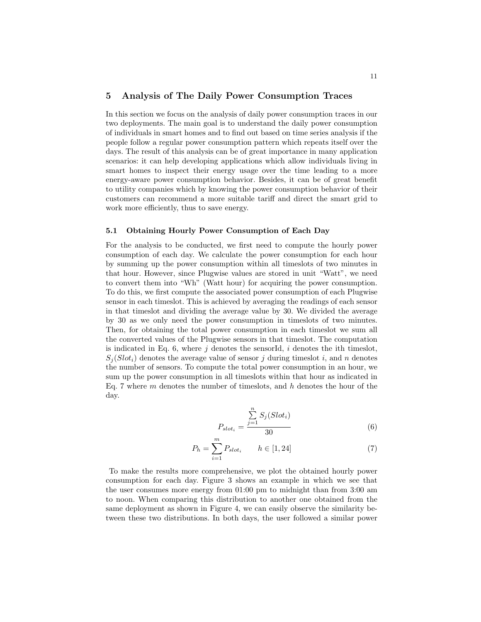## 5 Analysis of The Daily Power Consumption Traces

In this section we focus on the analysis of daily power consumption traces in our two deployments. The main goal is to understand the daily power consumption of individuals in smart homes and to find out based on time series analysis if the people follow a regular power consumption pattern which repeats itself over the days. The result of this analysis can be of great importance in many application scenarios: it can help developing applications which allow individuals living in smart homes to inspect their energy usage over the time leading to a more energy-aware power consumption behavior. Besides, it can be of great benefit to utility companies which by knowing the power consumption behavior of their customers can recommend a more suitable tariff and direct the smart grid to work more efficiently, thus to save energy.

## 5.1 Obtaining Hourly Power Consumption of Each Day

For the analysis to be conducted, we first need to compute the hourly power consumption of each day. We calculate the power consumption for each hour by summing up the power consumption within all timeslots of two minutes in that hour. However, since Plugwise values are stored in unit "Watt", we need to convert them into "Wh" (Watt hour) for acquiring the power consumption. To do this, we first compute the associated power consumption of each Plugwise sensor in each timeslot. This is achieved by averaging the readings of each sensor in that timeslot and dividing the average value by 30. We divided the average by 30 as we only need the power consumption in timeslots of two minutes. Then, for obtaining the total power consumption in each timeslot we sum all the converted values of the Plugwise sensors in that timeslot. The computation is indicated in Eq. 6, where  $j$  denotes the sensorId,  $i$  denotes the ith timeslot,  $S_i(Slot_i)$  denotes the average value of sensor j during timeslot i, and n denotes the number of sensors. To compute the total power consumption in an hour, we sum up the power consumption in all timeslots within that hour as indicated in Eq. 7 where  $m$  denotes the number of timeslots, and  $h$  denotes the hour of the day.

$$
P_{slot_i} = \frac{\sum_{j=1}^{n} S_j(Slot_i)}{30} \tag{6}
$$

$$
P_h = \sum_{i=1}^{m} P_{slot_i} \qquad h \in [1, 24] \tag{7}
$$

To make the results more comprehensive, we plot the obtained hourly power consumption for each day. Figure 3 shows an example in which we see that the user consumes more energy from 01:00 pm to midnight than from 3:00 am to noon. When comparing this distribution to another one obtained from the same deployment as shown in Figure 4, we can easily observe the similarity between these two distributions. In both days, the user followed a similar power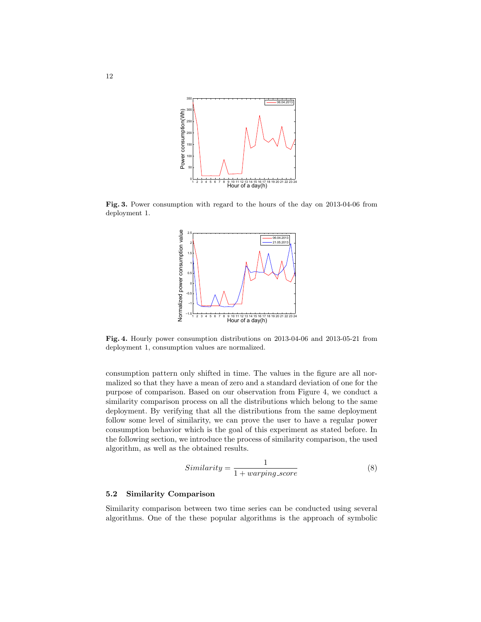

Fig. 3. Power consumption with regard to the hours of the day on 2013-04-06 from deployment 1.



Fig. 4. Hourly power consumption distributions on 2013-04-06 and 2013-05-21 from deployment 1, consumption values are normalized.

consumption pattern only shifted in time. The values in the figure are all normalized so that they have a mean of zero and a standard deviation of one for the purpose of comparison. Based on our observation from Figure 4, we conduct a similarity comparison process on all the distributions which belong to the same deployment. By verifying that all the distributions from the same deployment follow some level of similarity, we can prove the user to have a regular power consumption behavior which is the goal of this experiment as stated before. In the following section, we introduce the process of similarity comparison, the used algorithm, as well as the obtained results.

$$
Similarity = \frac{1}{1 + warping\_score}
$$
\n(8)

## 5.2 Similarity Comparison

Similarity comparison between two time series can be conducted using several algorithms. One of the these popular algorithms is the approach of symbolic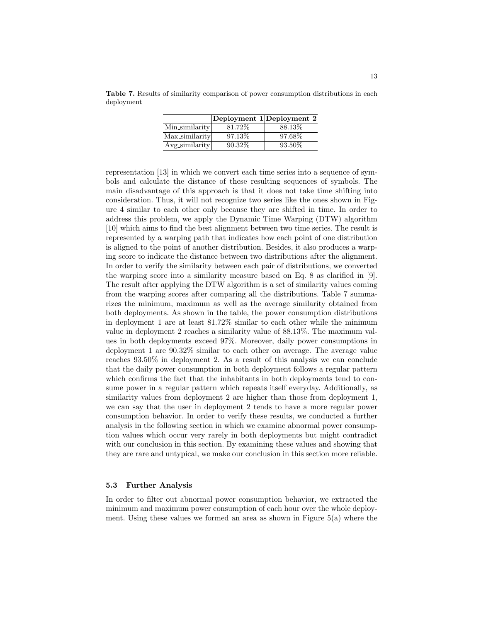Table 7. Results of similarity comparison of power consumption distributions in each deployment

|                   | Deployment 1 Deployment 2 |        |
|-------------------|---------------------------|--------|
| Min_similarity    | 81.72%                    | 88.13% |
| Max_similarity    | 97.13\%                   | 97.68% |
| $Avg\_similarity$ | $90.32\%$                 | 93.50% |

representation [13] in which we convert each time series into a sequence of symbols and calculate the distance of these resulting sequences of symbols. The main disadvantage of this approach is that it does not take time shifting into consideration. Thus, it will not recognize two series like the ones shown in Figure 4 similar to each other only because they are shifted in time. In order to address this problem, we apply the Dynamic Time Warping (DTW) algorithm [10] which aims to find the best alignment between two time series. The result is represented by a warping path that indicates how each point of one distribution is aligned to the point of another distribution. Besides, it also produces a warping score to indicate the distance between two distributions after the alignment. In order to verify the similarity between each pair of distributions, we converted the warping score into a similarity measure based on Eq. 8 as clarified in [9]. The result after applying the DTW algorithm is a set of similarity values coming from the warping scores after comparing all the distributions. Table 7 summarizes the minimum, maximum as well as the average similarity obtained from both deployments. As shown in the table, the power consumption distributions in deployment 1 are at least 81.72% similar to each other while the minimum value in deployment 2 reaches a similarity value of 88.13%. The maximum values in both deployments exceed 97%. Moreover, daily power consumptions in deployment 1 are 90.32% similar to each other on average. The average value reaches 93.50% in deployment 2. As a result of this analysis we can conclude that the daily power consumption in both deployment follows a regular pattern which confirms the fact that the inhabitants in both deployments tend to consume power in a regular pattern which repeats itself everyday. Additionally, as similarity values from deployment 2 are higher than those from deployment 1, we can say that the user in deployment 2 tends to have a more regular power consumption behavior. In order to verify these results, we conducted a further analysis in the following section in which we examine abnormal power consumption values which occur very rarely in both deployments but might contradict with our conclusion in this section. By examining these values and showing that they are rare and untypical, we make our conclusion in this section more reliable.

#### 5.3 Further Analysis

In order to filter out abnormal power consumption behavior, we extracted the minimum and maximum power consumption of each hour over the whole deployment. Using these values we formed an area as shown in Figure 5(a) where the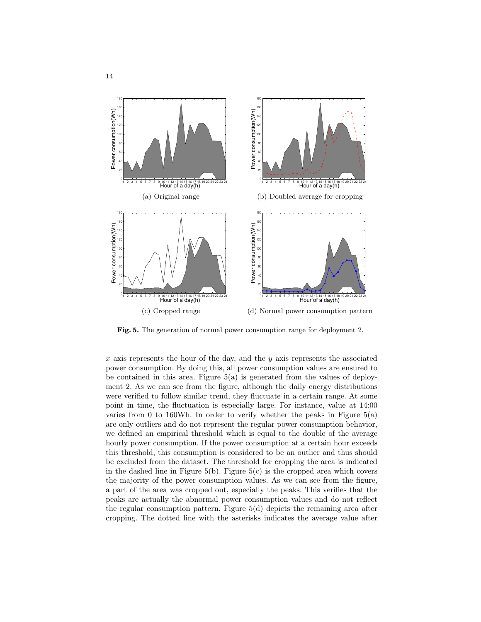

Fig. 5. The generation of normal power consumption range for deployment 2.

x axis represents the hour of the day, and the  $y$  axis represents the associated power consumption. By doing this, all power consumption values are ensured to be contained in this area. Figure  $5(a)$  is generated from the values of deployment 2. As we can see from the figure, although the daily energy distributions were verified to follow similar trend, they fluctuate in a certain range. At some point in time, the fluctuation is especially large. For instance, value at 14:00 varies from 0 to 160Wh. In order to verify whether the peaks in Figure  $5(a)$ are only outliers and do not represent the regular power consumption behavior, we defined an empirical threshold which is equal to the double of the average hourly power consumption. If the power consumption at a certain hour exceeds this threshold, this consumption is considered to be an outlier and thus should be excluded from the dataset. The threshold for cropping the area is indicated in the dashed line in Figure  $5(b)$ . Figure  $5(c)$  is the cropped area which covers the majority of the power consumption values. As we can see from the figure, a part of the area was cropped out, especially the peaks. This verifies that the peaks are actually the abnormal power consumption values and do not reflect the regular consumption pattern. Figure 5(d) depicts the remaining area after cropping. The dotted line with the asterisks indicates the average value after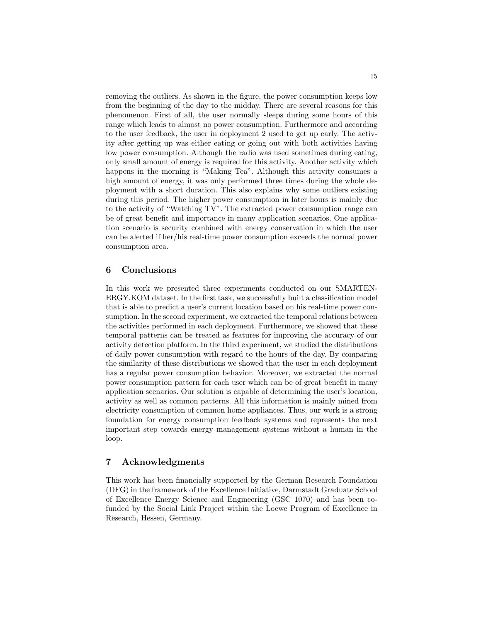removing the outliers. As shown in the figure, the power consumption keeps low from the beginning of the day to the midday. There are several reasons for this phenomenon. First of all, the user normally sleeps during some hours of this range which leads to almost no power consumption. Furthermore and according to the user feedback, the user in deployment 2 used to get up early. The activity after getting up was either eating or going out with both activities having low power consumption. Although the radio was used sometimes during eating, only small amount of energy is required for this activity. Another activity which happens in the morning is "Making Tea". Although this activity consumes a high amount of energy, it was only performed three times during the whole deployment with a short duration. This also explains why some outliers existing during this period. The higher power consumption in later hours is mainly due to the activity of "Watching TV". The extracted power consumption range can be of great benefit and importance in many application scenarios. One application scenario is security combined with energy conservation in which the user can be alerted if her/his real-time power consumption exceeds the normal power consumption area.

## 6 Conclusions

In this work we presented three experiments conducted on our SMARTEN-ERGY.KOM dataset. In the first task, we successfully built a classification model that is able to predict a user's current location based on his real-time power consumption. In the second experiment, we extracted the temporal relations between the activities performed in each deployment. Furthermore, we showed that these temporal patterns can be treated as features for improving the accuracy of our activity detection platform. In the third experiment, we studied the distributions of daily power consumption with regard to the hours of the day. By comparing the similarity of these distributions we showed that the user in each deployment has a regular power consumption behavior. Moreover, we extracted the normal power consumption pattern for each user which can be of great benefit in many application scenarios. Our solution is capable of determining the user's location, activity as well as common patterns. All this information is mainly mined from electricity consumption of common home appliances. Thus, our work is a strong foundation for energy consumption feedback systems and represents the next important step towards energy management systems without a human in the loop.

## 7 Acknowledgments

This work has been financially supported by the German Research Foundation (DFG) in the framework of the Excellence Initiative, Darmstadt Graduate School of Excellence Energy Science and Engineering (GSC 1070) and has been cofunded by the Social Link Project within the Loewe Program of Excellence in Research, Hessen, Germany.